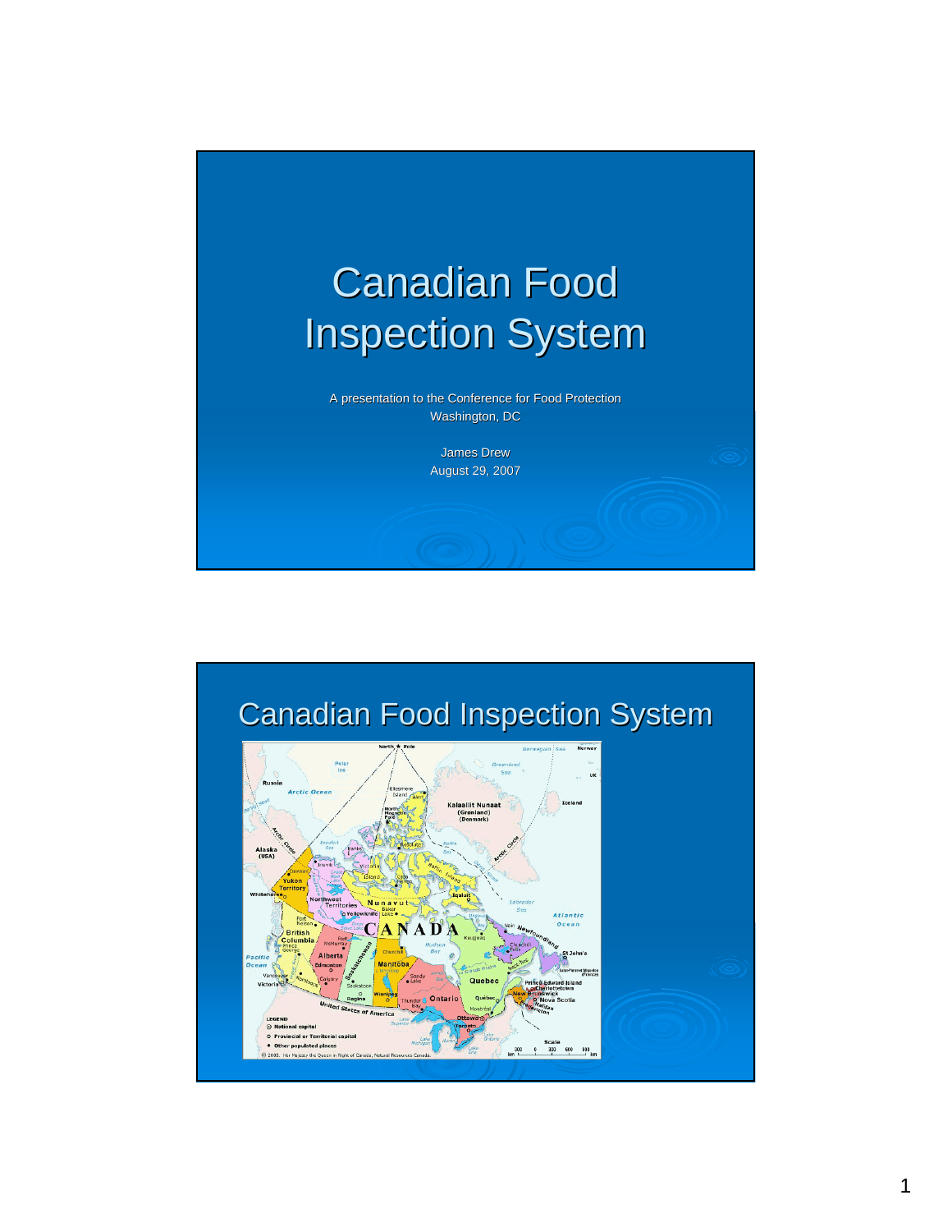

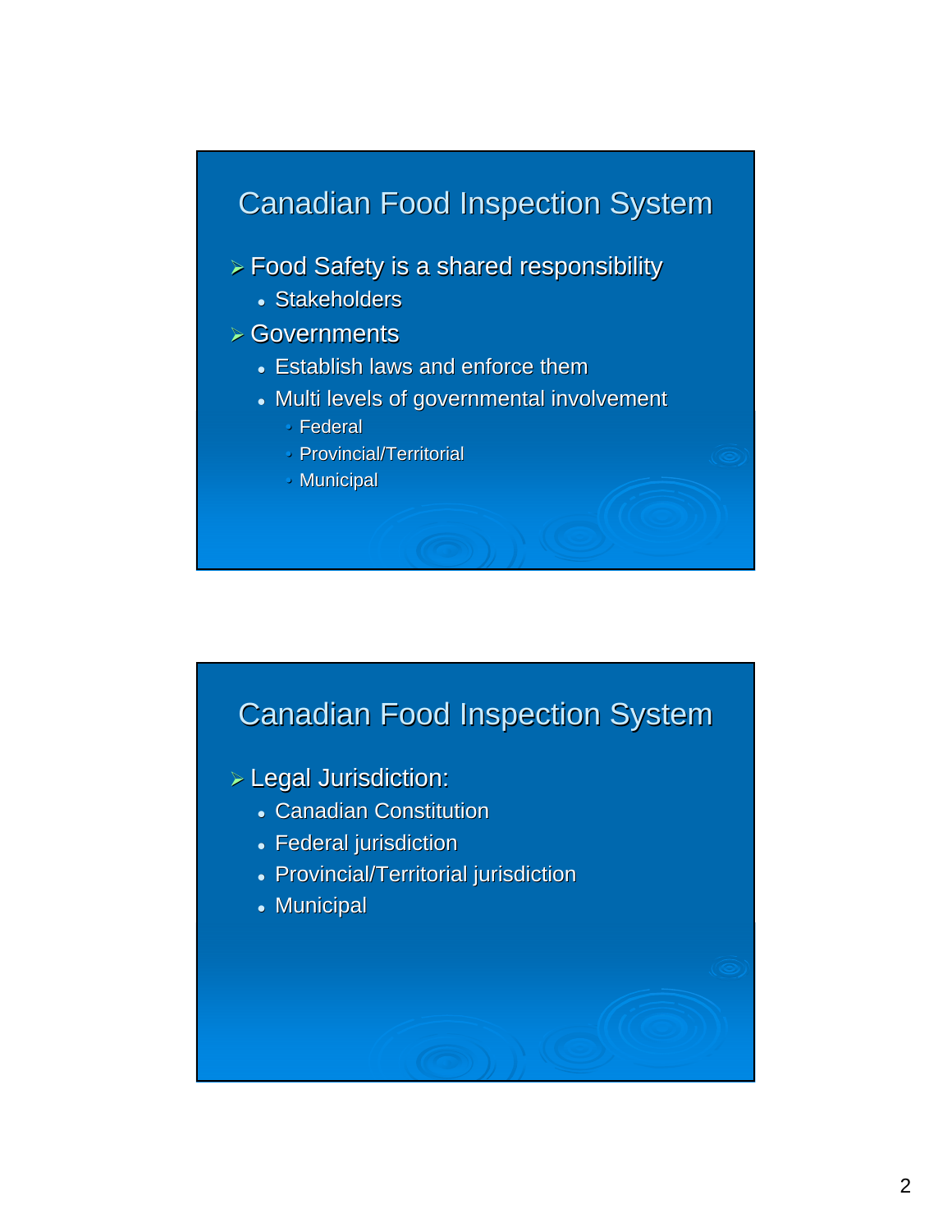$>$  Food Safety is a shared responsibility

• Stakeholders

 $\triangleright$  Governments

- Establish laws and enforce them
- Multi levels of governmental involvement
	- $\cdot$  Federal
	- $\cdot$  Provincial/Territorial
	- $\cdot$  Municipal



 $>$  Legal Jurisdiction:

- Canadian Constitution
- Federal jurisdiction
- Provincial/Territorial jurisdiction
- $\bullet$  Municipal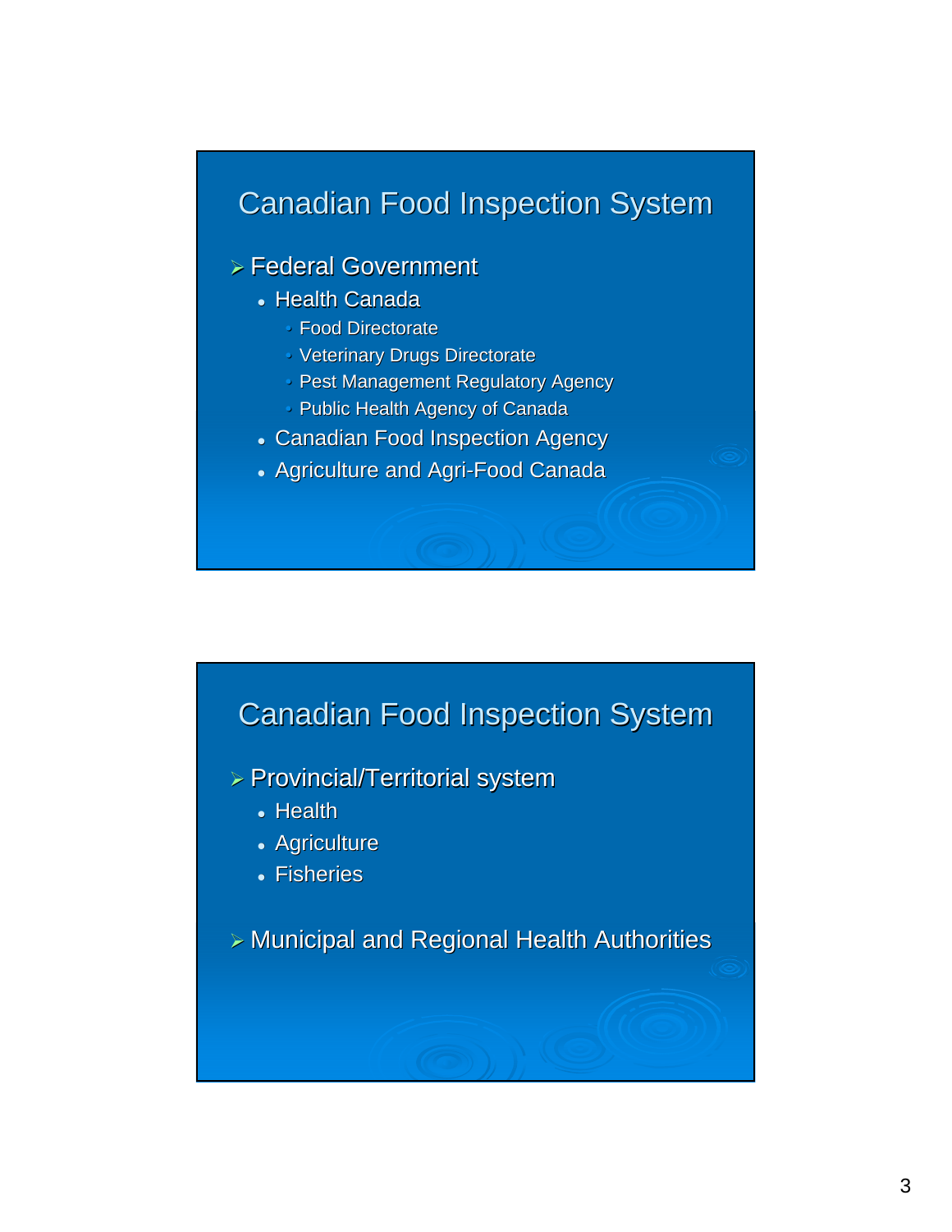#### $\triangleright$  Federal Government

- Health Canada
	- Food Directorate
	- Veterinary Drugs Directorate
	- Pest Management Regulatory Agency
	- Public Health Agency of Canada
- Canadian Food Inspection Agency
- Agriculture and Agri-Food Canada

### **Canadian Food Inspection System**

- ¾ Provincial/Territorial system
	- Health
	- Agriculture
	- Fisheries

 $>$  Municipal and Regional Health Authorities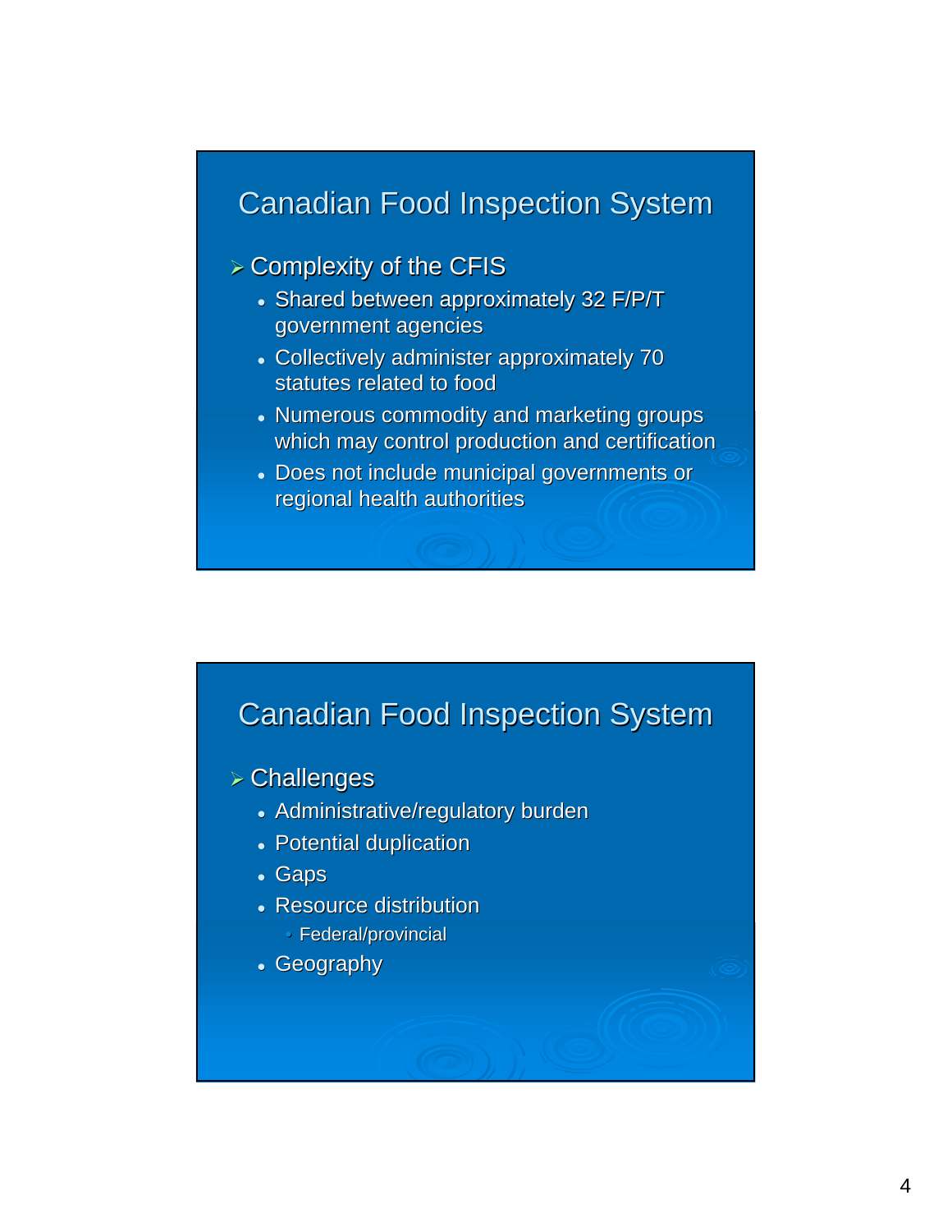#### $\triangleright$  Complexity of the CFIS

- Shared between approximately 32 F/P/T government agencies
- Collectively administer approximately 70 statutes related to food
- Numerous commodity and marketing groups which may control production and certification
- Does not include municipal governments or regional health authorities

# **Canadian Food Inspection System**

 $>$  Challenges

- Administrative/regulatory burden
- Potential duplication
- <sup>z</sup> Gaps
- Resource distribution
	- Federal/provincial
- Geography